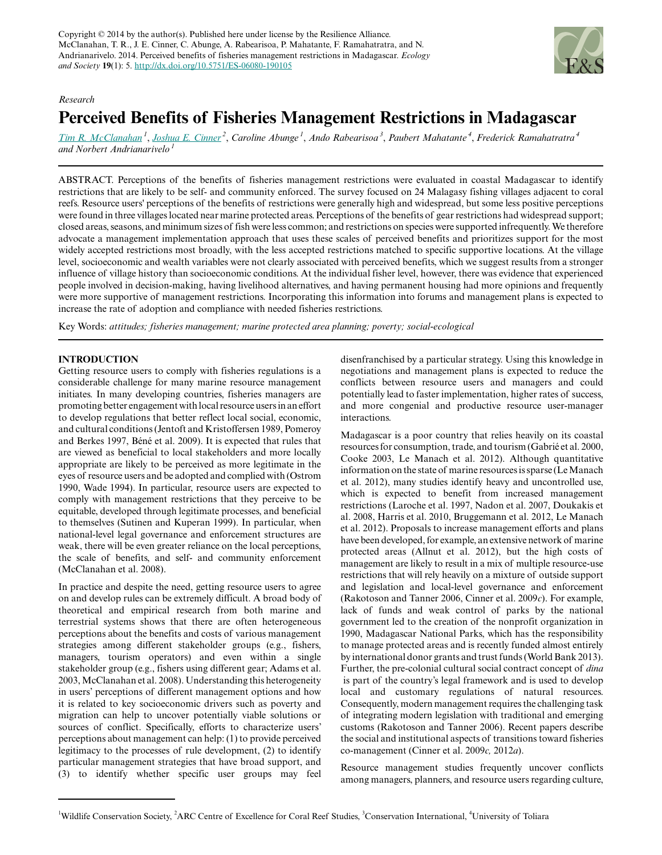

## *Research*

# **Perceived Benefits of Fisheries Management Restrictions in Madagascar**

*[Tim R. McClanahan](mailto:tmcclanahan@wcs.org)<sup>1</sup>* , *[Joshua E. Cinner](mailto:joshua.cinner@jcu.edu.au)<sup>2</sup>* , *Caroline Abunge<sup>1</sup>* , *Ando Rabearisoa<sup>3</sup>* , *Paubert Mahatante<sup>4</sup>* , *Frederick Ramahatratra<sup>4</sup> and Norbert Andrianarivelo<sup>1</sup>*

ABSTRACT. Perceptions of the benefits of fisheries management restrictions were evaluated in coastal Madagascar to identify restrictions that are likely to be self- and community enforced. The survey focused on 24 Malagasy fishing villages adjacent to coral reefs. Resource users' perceptions of the benefits of restrictions were generally high and widespread, but some less positive perceptions were found in three villages located near marine protected areas. Perceptions of the benefits of gear restrictions had widespread support; closed areas, seasons, and minimum sizes of fish were less common; and restrictions on species were supported infrequently. We therefore advocate a management implementation approach that uses these scales of perceived benefits and prioritizes support for the most widely accepted restrictions most broadly, with the less accepted restrictions matched to specific supportive locations. At the village level, socioeconomic and wealth variables were not clearly associated with perceived benefits, which we suggest results from a stronger influence of village history than socioeconomic conditions. At the individual fisher level, however, there was evidence that experienced people involved in decision-making, having livelihood alternatives, and having permanent housing had more opinions and frequently were more supportive of management restrictions. Incorporating this information into forums and management plans is expected to increase the rate of adoption and compliance with needed fisheries restrictions.

Key Words: *attitudes; fisheries management; marine protected area planning; poverty; social-ecological*

# **INTRODUCTION**

Getting resource users to comply with fisheries regulations is a considerable challenge for many marine resource management initiates. In many developing countries, fisheries managers are promoting better engagement with local resource users in an effort to develop regulations that better reflect local social, economic, and cultural conditions (Jentoft and Kristoffersen 1989, Pomeroy and Berkes 1997, Béné et al. 2009). It is expected that rules that are viewed as beneficial to local stakeholders and more locally appropriate are likely to be perceived as more legitimate in the eyes of resource users and be adopted and complied with (Ostrom 1990, Wade 1994). In particular, resource users are expected to comply with management restrictions that they perceive to be equitable, developed through legitimate processes, and beneficial to themselves (Sutinen and Kuperan 1999). In particular, when national-level legal governance and enforcement structures are weak, there will be even greater reliance on the local perceptions, the scale of benefits, and self- and community enforcement (McClanahan et al. 2008).

In practice and despite the need, getting resource users to agree on and develop rules can be extremely difficult. A broad body of theoretical and empirical research from both marine and terrestrial systems shows that there are often heterogeneous perceptions about the benefits and costs of various management strategies among different stakeholder groups (e.g., fishers, managers, tourism operators) and even within a single stakeholder group (e.g., fishers using different gear; Adams et al. 2003, McClanahan et al. 2008). Understanding this heterogeneity in users' perceptions of different management options and how it is related to key socioeconomic drivers such as poverty and migration can help to uncover potentially viable solutions or sources of conflict. Specifically, efforts to characterize users' perceptions about management can help: (1) to provide perceived legitimacy to the processes of rule development, (2) to identify particular management strategies that have broad support, and (3) to identify whether specific user groups may feel

disenfranchised by a particular strategy. Using this knowledge in negotiations and management plans is expected to reduce the conflicts between resource users and managers and could potentially lead to faster implementation, higher rates of success, and more congenial and productive resource user-manager interactions.

Madagascar is a poor country that relies heavily on its coastal resources for consumption, trade, and tourism (Gabrié et al. 2000, Cooke 2003, Le Manach et al. 2012). Although quantitative information on the state of marine resources is sparse (Le Manach et al. 2012), many studies identify heavy and uncontrolled use, which is expected to benefit from increased management restrictions (Laroche et al. 1997, Nadon et al. 2007, Doukakis et al. 2008, Harris et al. 2010, Bruggemann et al. 2012, Le Manach et al. 2012). Proposals to increase management efforts and plans have been developed, for example, an extensive network of marine protected areas (Allnut et al. 2012), but the high costs of management are likely to result in a mix of multiple resource-use restrictions that will rely heavily on a mixture of outside support and legislation and local-level governance and enforcement (Rakotoson and Tanner 2006, Cinner et al. 2009*c*). For example, lack of funds and weak control of parks by the national government led to the creation of the nonprofit organization in 1990, Madagascar National Parks, which has the responsibility to manage protected areas and is recently funded almost entirely by international donor grants and trust funds (World Bank 2013). Further, the pre-colonial cultural social contract concept of *dina* is part of the country's legal framework and is used to develop local and customary regulations of natural resources. Consequently, modern management requires the challenging task of integrating modern legislation with traditional and emerging customs (Rakotoson and Tanner 2006). Recent papers describe the social and institutional aspects of transitions toward fisheries co-management (Cinner et al. 2009*c,* 2012*a*).

Resource management studies frequently uncover conflicts among managers, planners, and resource users regarding culture,

<sup>&</sup>lt;sup>1</sup>Wildlife Conservation Society, <sup>2</sup>ARC Centre of Excellence for Coral Reef Studies, <sup>3</sup>Conservation International, <sup>4</sup>University of Toliara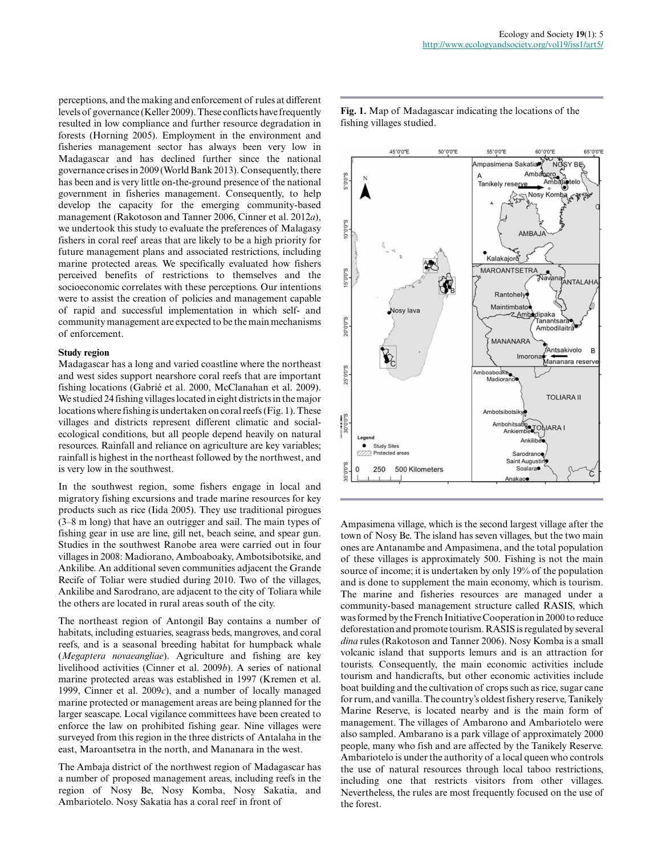perceptions, and the making and enforcement of rules at different levels of governance (Keller 2009). These conflicts have frequently resulted in low compliance and further resource degradation in forests (Horning 2005). Employment in the environment and fisheries management sector has always been very low in Madagascar and has declined further since the national governance crises in 2009 (World Bank 2013). Consequently, there has been and is very little on-the-ground presence of the national government in fisheries management. Consequently, to help develop the capacity for the emerging community-based management (Rakotoson and Tanner 2006, Cinner et al. 2012*a*), we undertook this study to evaluate the preferences of Malagasy fishers in coral reef areas that are likely to be a high priority for future management plans and associated restrictions, including marine protected areas. We specifically evaluated how fishers perceived benefits of restrictions to themselves and the socioeconomic correlates with these perceptions. Our intentions were to assist the creation of policies and management capable of rapid and successful implementation in which self- and community management are expected to be the main mechanisms of enforcement.

## **Study region**

Madagascar has a long and varied coastline where the northeast and west sides support nearshore coral reefs that are important fishing locations (Gabrié et al. 2000, McClanahan et al. 2009). We studied 24 fishing villages located in eight districts in the major locations where fishing is undertaken on coral reefs (Fig. 1). These villages and districts represent different climatic and socialecological conditions, but all people depend heavily on natural resources. Rainfall and reliance on agriculture are key variables; rainfall is highest in the northeast followed by the northwest, and is very low in the southwest.

In the southwest region, some fishers engage in local and migratory fishing excursions and trade marine resources for key products such as rice (Iida 2005). They use traditional pirogues (3–8 m long) that have an outrigger and sail. The main types of fishing gear in use are line, gill net, beach seine, and spear gun. Studies in the southwest Ranobe area were carried out in four villages in 2008: Madiorano, Amboaboaky, Ambotsibotsike, and Ankilibe. An additional seven communities adjacent the Grande Recife of Toliar were studied during 2010. Two of the villages, Ankilibe and Sarodrano, are adjacent to the city of Toliara while the others are located in rural areas south of the city.

The northeast region of Antongil Bay contains a number of habitats, including estuaries, seagrass beds, mangroves, and coral reefs, and is a seasonal breeding habitat for humpback whale (*Megaptera novaeangliae*). Agriculture and fishing are key livelihood activities (Cinner et al. 2009*b*). A series of national marine protected areas was established in 1997 (Kremen et al. 1999, Cinner et al. 2009*c*), and a number of locally managed marine protected or management areas are being planned for the larger seascape. Local vigilance committees have been created to enforce the law on prohibited fishing gear. Nine villages were surveyed from this region in the three districts of Antalaha in the east, Maroantsetra in the north, and Mananara in the west.

The Ambaja district of the northwest region of Madagascar has a number of proposed management areas, including reefs in the region of Nosy Be, Nosy Komba, Nosy Sakatia, and Ambariotelo. Nosy Sakatia has a coral reef in front of



**Fig. 1.** Map of Madagascar indicating the locations of the fishing villages studied.

Ampasimena village, which is the second largest village after the town of Nosy Be. The island has seven villages, but the two main ones are Antanambe and Ampasimena, and the total population of these villages is approximately 500. Fishing is not the main source of income; it is undertaken by only 19% of the population and is done to supplement the main economy, which is tourism. The marine and fisheries resources are managed under a community-based management structure called RASIS, which was formed by the French Initiative Cooperation in 2000 to reduce deforestation and promote tourism. RASIS is regulated by several *dina* rules (Rakotoson and Tanner 2006). Nosy Komba is a small volcanic island that supports lemurs and is an attraction for tourists. Consequently, the main economic activities include tourism and handicrafts, but other economic activities include boat building and the cultivation of crops such as rice, sugar cane for rum, and vanilla. The country's oldest fishery reserve, Tanikely Marine Reserve, is located nearby and is the main form of management. The villages of Ambarono and Ambariotelo were also sampled. Ambarano is a park village of approximately 2000 people, many who fish and are affected by the Tanikely Reserve. Ambariotelo is under the authority of a local queen who controls the use of natural resources through local taboo restrictions, including one that restricts visitors from other villages. Nevertheless, the rules are most frequently focused on the use of the forest.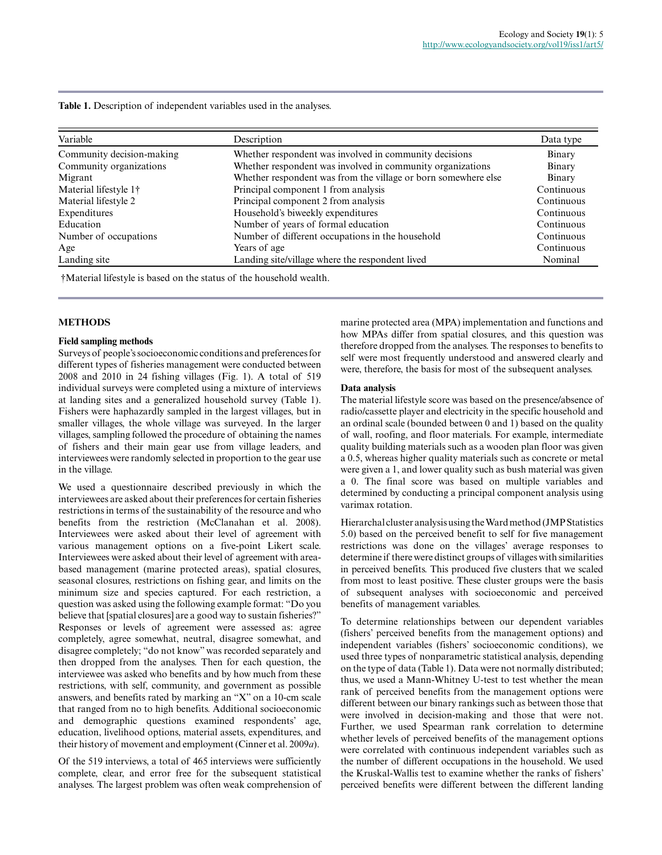|  |  | Table 1. Description of independent variables used in the analyses. |  |  |  |
|--|--|---------------------------------------------------------------------|--|--|--|
|--|--|---------------------------------------------------------------------|--|--|--|

| Variable                          | Description                                                    | Data type  |
|-----------------------------------|----------------------------------------------------------------|------------|
| Community decision-making         | Whether respondent was involved in community decisions         | Binary     |
| Community organizations           | Whether respondent was involved in community organizations     | Binary     |
| Migrant                           | Whether respondent was from the village or born somewhere else | Binary     |
| Material lifestyle 1 <sup>†</sup> | Principal component 1 from analysis                            | Continuous |
| Material lifestyle 2              | Principal component 2 from analysis                            | Continuous |
| Expenditures                      | Household's biweekly expenditures                              | Continuous |
| Education                         | Number of years of formal education                            | Continuous |
| Number of occupations             | Number of different occupations in the household               | Continuous |
| Age                               | Years of age                                                   | Continuous |
| Landing site                      | Landing site/village where the respondent lived                | Nominal    |

†Material lifestyle is based on the status of the household wealth.

# **METHODS**

#### **Field sampling methods**

Surveys of people's socioeconomic conditions and preferences for different types of fisheries management were conducted between 2008 and 2010 in 24 fishing villages (Fig. 1). A total of 519 individual surveys were completed using a mixture of interviews at landing sites and a generalized household survey (Table 1). Fishers were haphazardly sampled in the largest villages, but in smaller villages, the whole village was surveyed. In the larger villages, sampling followed the procedure of obtaining the names of fishers and their main gear use from village leaders, and interviewees were randomly selected in proportion to the gear use in the village.

We used a questionnaire described previously in which the interviewees are asked about their preferences for certain fisheries restrictions in terms of the sustainability of the resource and who benefits from the restriction (McClanahan et al. 2008). Interviewees were asked about their level of agreement with various management options on a five-point Likert scale. Interviewees were asked about their level of agreement with areabased management (marine protected areas), spatial closures, seasonal closures, restrictions on fishing gear, and limits on the minimum size and species captured. For each restriction, a question was asked using the following example format: "Do you believe that [spatial closures] are a good way to sustain fisheries?" Responses or levels of agreement were assessed as: agree completely, agree somewhat, neutral, disagree somewhat, and disagree completely; "do not know" was recorded separately and then dropped from the analyses. Then for each question, the interviewee was asked who benefits and by how much from these restrictions, with self, community, and government as possible answers, and benefits rated by marking an "X" on a 10-cm scale that ranged from no to high benefits. Additional socioeconomic and demographic questions examined respondents' age, education, livelihood options, material assets, expenditures, and their history of movement and employment (Cinner et al. 2009*a*).

Of the 519 interviews, a total of 465 interviews were sufficiently complete, clear, and error free for the subsequent statistical analyses. The largest problem was often weak comprehension of marine protected area (MPA) implementation and functions and how MPAs differ from spatial closures, and this question was therefore dropped from the analyses. The responses to benefits to self were most frequently understood and answered clearly and were, therefore, the basis for most of the subsequent analyses.

## **Data analysis**

The material lifestyle score was based on the presence/absence of radio/cassette player and electricity in the specific household and an ordinal scale (bounded between 0 and 1) based on the quality of wall, roofing, and floor materials. For example, intermediate quality building materials such as a wooden plan floor was given a 0.5, whereas higher quality materials such as concrete or metal were given a 1, and lower quality such as bush material was given a 0. The final score was based on multiple variables and determined by conducting a principal component analysis using varimax rotation.

Hierarchal cluster analysis using the Ward method (JMP Statistics 5.0) based on the perceived benefit to self for five management restrictions was done on the villages' average responses to determine if there were distinct groups of villages with similarities in perceived benefits. This produced five clusters that we scaled from most to least positive. These cluster groups were the basis of subsequent analyses with socioeconomic and perceived benefits of management variables.

To determine relationships between our dependent variables (fishers' perceived benefits from the management options) and independent variables (fishers' socioeconomic conditions), we used three types of nonparametric statistical analysis, depending on the type of data (Table 1). Data were not normally distributed; thus, we used a Mann-Whitney U-test to test whether the mean rank of perceived benefits from the management options were different between our binary rankings such as between those that were involved in decision-making and those that were not. Further, we used Spearman rank correlation to determine whether levels of perceived benefits of the management options were correlated with continuous independent variables such as the number of different occupations in the household. We used the Kruskal-Wallis test to examine whether the ranks of fishers' perceived benefits were different between the different landing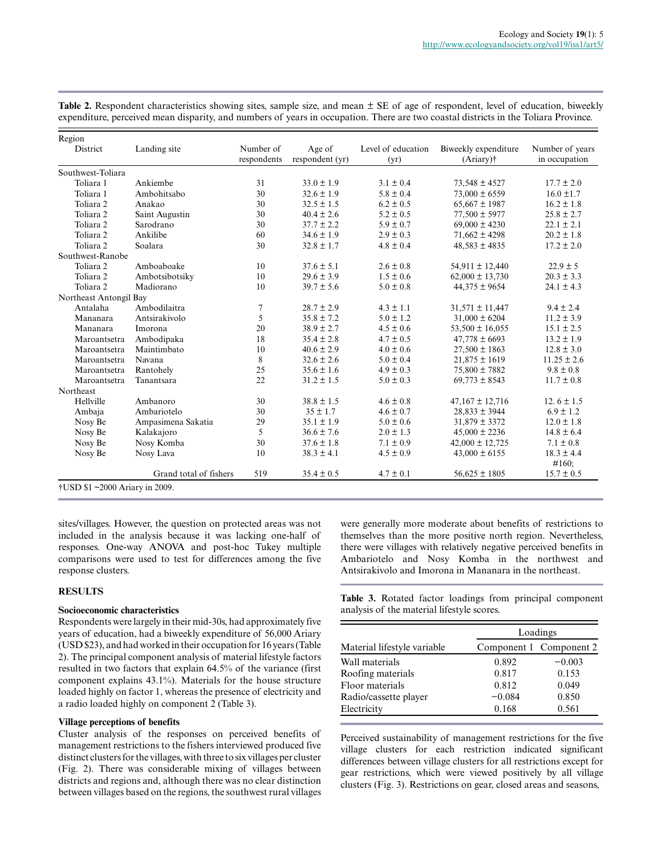Table 2. Respondent characteristics showing sites, sample size, and mean  $\pm$  SE of age of respondent, level of education, biweekly expenditure, perceived mean disparity, and numbers of years in occupation. There are two coastal districts in the Toliara Province.

| Region                        |                        |                          |                           |                            |                                      |                                  |
|-------------------------------|------------------------|--------------------------|---------------------------|----------------------------|--------------------------------------|----------------------------------|
| District                      | Landing site           | Number of<br>respondents | Age of<br>respondent (yr) | Level of education<br>(yr) | Biweekly expenditure<br>$(Ariary)$ † | Number of years<br>in occupation |
| Southwest-Toliara             |                        |                          |                           |                            |                                      |                                  |
| Toliara 1                     | Ankiembe               | 31                       | $33.0 \pm 1.9$            | $3.1 \pm 0.4$              | $73,548 \pm 4527$                    | $17.7 \pm 2.0$                   |
| Toliara 1                     | Ambohitsabo            | 30                       | $32.6 \pm 1.9$            | $5.8 \pm 0.4$              | $73,000 \pm 6559$                    | $16.0 \pm 1.7$                   |
| Toliara <sub>2</sub>          | Anakao                 | 30                       | $32.5 \pm 1.5$            | $6.2 \pm 0.5$              | $65,667 \pm 1987$                    | $16.2 \pm 1.8$                   |
| Toliara <sub>2</sub>          | Saint Augustin         | 30                       | $40.4 \pm 2.6$            | $5.2 \pm 0.5$              | $77,500 \pm 5977$                    | $25.8 \pm 2.7$                   |
| Toliara <sub>2</sub>          | Sarodrano              | 30                       | $37.7 \pm 2.2$            | $5.9 \pm 0.7$              | $69,000 \pm 4230$                    | $22.1 \pm 2.1$                   |
| Toliara <sub>2</sub>          | Ankilibe               | 60                       | $34.6 \pm 1.9$            | $2.9 \pm 0.3$              | $71,662 \pm 4298$                    | $20.2 \pm 1.8$                   |
| Toliara <sub>2</sub>          | Soalara                | 30                       | $32.8 \pm 1.7$            | $4.8 \pm 0.4$              | $48,583 \pm 4835$                    | $17.2 \pm 2.0$                   |
| Southwest-Ranobe              |                        |                          |                           |                            |                                      |                                  |
| Toliara 2                     | Amboaboake             | 10                       | $37.6 \pm 5.1$            | $2.6 \pm 0.8$              | $54,911 \pm 12,440$                  | $22.9 \pm 5$                     |
| Toliara <sub>2</sub>          | Ambotsibotsiky         | 10                       | $29.6 \pm 3.9$            | $1.5 \pm 0.6$              | $62,000 \pm 13,730$                  | $20.3 \pm 3.3$                   |
| Toliara <sub>2</sub>          | Madiorano              | 10                       | $39.7 \pm 5.6$            | $5.0 \pm 0.8$              | $44,375 \pm 9654$                    | $24.1 \pm 4.3$                   |
| Northeast Antongil Bay        |                        |                          |                           |                            |                                      |                                  |
| Antalaha                      | Ambodilaitra           | $\overline{7}$           | $28.7 \pm 2.9$            | $4.3 \pm 1.1$              | $31,571 \pm 11,447$                  | $9.4 \pm 2.4$                    |
| Mananara                      | Antsirakivolo          | 5                        | $35.8 \pm 7.2$            | $5.0 \pm 1.2$              | $31,000 \pm 6204$                    | $11.2 \pm 3.9$                   |
| Mananara                      | Imorona                | 20                       | $38.9 \pm 2.7$            | $4.5 \pm 0.6$              | $53,500 \pm 16,055$                  | $15.1 \pm 2.5$                   |
| Maroantsetra                  | Ambodipaka             | 18                       | $35.4 \pm 2.8$            | $4.7 \pm 0.5$              | $47,778 \pm 6693$                    | $13.2 \pm 1.9$                   |
| Maroantsetra                  | Maintimbato            | 10                       | $40.6 \pm 2.9$            | $4.0 \pm 0.6$              | $27,500 \pm 1863$                    | $12.8 \pm 3.0$                   |
| Maroantsetra                  | Navana                 | 8                        | $32.6 \pm 2.6$            | $5.0 \pm 0.4$              | $21,875 \pm 1619$                    | $11.25 \pm 2.6$                  |
| Maroantsetra                  | Rantohely              | 25                       | $35.6 \pm 1.6$            | $4.9 \pm 0.3$              | 75,800 ± 7882                        | $9.8 \pm 0.8$                    |
| Maroantsetra                  | Tanantsara             | 22                       | $31.2 \pm 1.5$            | $5.0 \pm 0.3$              | $69,773 \pm 8543$                    | $11.7 \pm 0.8$                   |
| Northeast                     |                        |                          |                           |                            |                                      |                                  |
| Hellville                     | Ambanoro               | 30                       | $38.8 \pm 1.5$            | $4.6 \pm 0.8$              | $47,167 \pm 12,716$                  | 12.6 $\pm$ 1.5                   |
| Ambaja                        | Ambariotelo            | 30                       | $35 \pm 1.7$              | $4.6 \pm 0.7$              | $28,833 \pm 3944$                    | $6.9 \pm 1.2$                    |
| Nosy Be                       | Ampasimena Sakatia     | 29                       | $35.1 \pm 1.9$            | $5.0 \pm 0.6$              | $31,879 \pm 3372$                    | $12.0 \pm 1.8$                   |
| Nosy Be                       | Kalakajoro             | 5                        | $36.6 \pm 7.6$            | $2.0 \pm 1.3$              | $45,000 \pm 2236$                    | $14.8 \pm 6.4$                   |
| Nosy Be                       | Nosy Komba             | 30                       | $37.6 \pm 1.8$            | $7.1 \pm 0.9$              | $42,000 \pm 12,725$                  | $7.1 \pm 0.8$                    |
| Nosy Be                       | Nosy Lava              | 10                       | $38.3 \pm 4.1$            | $4.5 \pm 0.9$              | $43,000 \pm 6155$                    | $18.3 \pm 4.4$                   |
|                               |                        |                          |                           |                            |                                      | #160:                            |
|                               | Grand total of fishers | 519                      | $35.4 \pm 0.5$            | $4.7 \pm 0.1$              | $56,625 \pm 1805$                    | $15.7 \pm 0.5$                   |
| †USD \$1~2000 Ariary in 2009. |                        |                          |                           |                            |                                      |                                  |

sites/villages. However, the question on protected areas was not included in the analysis because it was lacking one-half of responses. One-way ANOVA and post-hoc Tukey multiple comparisons were used to test for differences among the five response clusters.

## **RESULTS**

# **Socioeconomic characteristics**

Respondents were largely in their mid-30s, had approximately five years of education, had a biweekly expenditure of 56,000 Ariary (USD \$23), and had worked in their occupation for 16 years (Table 2). The principal component analysis of material lifestyle factors resulted in two factors that explain 64.5% of the variance (first component explains 43.1%). Materials for the house structure loaded highly on factor 1, whereas the presence of electricity and a radio loaded highly on component 2 (Table 3).

# **Village perceptions of benefits**

Cluster analysis of the responses on perceived benefits of management restrictions to the fishers interviewed produced five distinct clusters for the villages, with three to six villages per cluster (Fig. 2). There was considerable mixing of villages between districts and regions and, although there was no clear distinction between villages based on the regions, the southwest rural villages

were generally more moderate about benefits of restrictions to themselves than the more positive north region. Nevertheless, there were villages with relatively negative perceived benefits in Ambariotelo and Nosy Komba in the northwest and Antsirakivolo and Imorona in Mananara in the northeast.

**Table 3.** Rotated factor loadings from principal component analysis of the material lifestyle scores.

|                             |          | Loadings                |  |  |  |
|-----------------------------|----------|-------------------------|--|--|--|
| Material lifestyle variable |          | Component 1 Component 2 |  |  |  |
| Wall materials              | 0.892    | $-0.003$                |  |  |  |
| Roofing materials           | 0.817    | 0.153                   |  |  |  |
| Floor materials             | 0.812    | 0.049                   |  |  |  |
| Radio/cassette player       | $-0.084$ | 0.850                   |  |  |  |
| Electricity                 | 0.168    | 0.561                   |  |  |  |

Perceived sustainability of management restrictions for the five village clusters for each restriction indicated significant differences between village clusters for all restrictions except for gear restrictions, which were viewed positively by all village clusters (Fig. 3). Restrictions on gear, closed areas and seasons,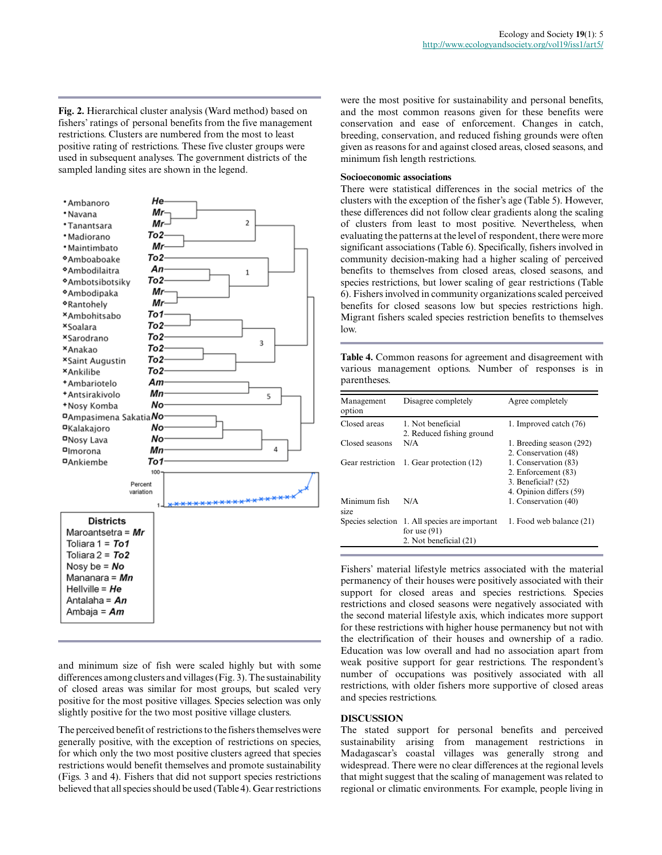**Fig. 2.** Hierarchical cluster analysis (Ward method) based on fishers' ratings of personal benefits from the five management restrictions. Clusters are numbered from the most to least positive rating of restrictions. These five cluster groups were used in subsequent analyses. The government districts of the sampled landing sites are shown in the legend.



and minimum size of fish were scaled highly but with some differences among clusters and villages (Fig. 3). The sustainability of closed areas was similar for most groups, but scaled very positive for the most positive villages. Species selection was only slightly positive for the two most positive village clusters.

The perceived benefit of restrictions to the fishers themselves were generally positive, with the exception of restrictions on species, for which only the two most positive clusters agreed that species restrictions would benefit themselves and promote sustainability (Figs. 3 and 4). Fishers that did not support species restrictions believed that all species should be used (Table 4). Gear restrictions

were the most positive for sustainability and personal benefits, and the most common reasons given for these benefits were conservation and ease of enforcement. Changes in catch, breeding, conservation, and reduced fishing grounds were often given as reasons for and against closed areas, closed seasons, and minimum fish length restrictions.

# **Socioeconomic associations**

There were statistical differences in the social metrics of the clusters with the exception of the fisher's age (Table 5). However, these differences did not follow clear gradients along the scaling of clusters from least to most positive. Nevertheless, when evaluating the patterns at the level of respondent, there were more significant associations (Table 6). Specifically, fishers involved in community decision-making had a higher scaling of perceived benefits to themselves from closed areas, closed seasons, and species restrictions, but lower scaling of gear restrictions (Table 6). Fishers involved in community organizations scaled perceived benefits for closed seasons low but species restrictions high. Migrant fishers scaled species restriction benefits to themselves  $l$ ow.

**Table 4.** Common reasons for agreement and disagreement with various management options. Number of responses is in parentheses.

| Management<br>option | Disagree completely                                                                        | Agree completely                                                                                |
|----------------------|--------------------------------------------------------------------------------------------|-------------------------------------------------------------------------------------------------|
| Closed areas         | 1. Not beneficial<br>2. Reduced fishing ground                                             | 1. Improved catch (76)                                                                          |
| Closed seasons       | N/A                                                                                        | 1. Breeding season (292)<br>2. Conservation (48)                                                |
| Gear restriction     | 1. Gear protection (12)                                                                    | 1. Conservation (83)<br>2. Enforcement (83)<br>3. Beneficial? $(52)$<br>4. Opinion differs (59) |
| Minimum fish<br>size | N/A                                                                                        | 1. Conservation (40)                                                                            |
|                      | Species selection 1. All species are important<br>for use $(91)$<br>2. Not beneficial (21) | 1. Food web balance (21)                                                                        |

Fishers' material lifestyle metrics associated with the material permanency of their houses were positively associated with their support for closed areas and species restrictions. Species restrictions and closed seasons were negatively associated with the second material lifestyle axis, which indicates more support for these restrictions with higher house permanency but not with the electrification of their houses and ownership of a radio. Education was low overall and had no association apart from weak positive support for gear restrictions. The respondent's number of occupations was positively associated with all restrictions, with older fishers more supportive of closed areas and species restrictions.

#### **DISCUSSION**

The stated support for personal benefits and perceived sustainability arising from management restrictions in Madagascar's coastal villages was generally strong and widespread. There were no clear differences at the regional levels that might suggest that the scaling of management was related to regional or climatic environments. For example, people living in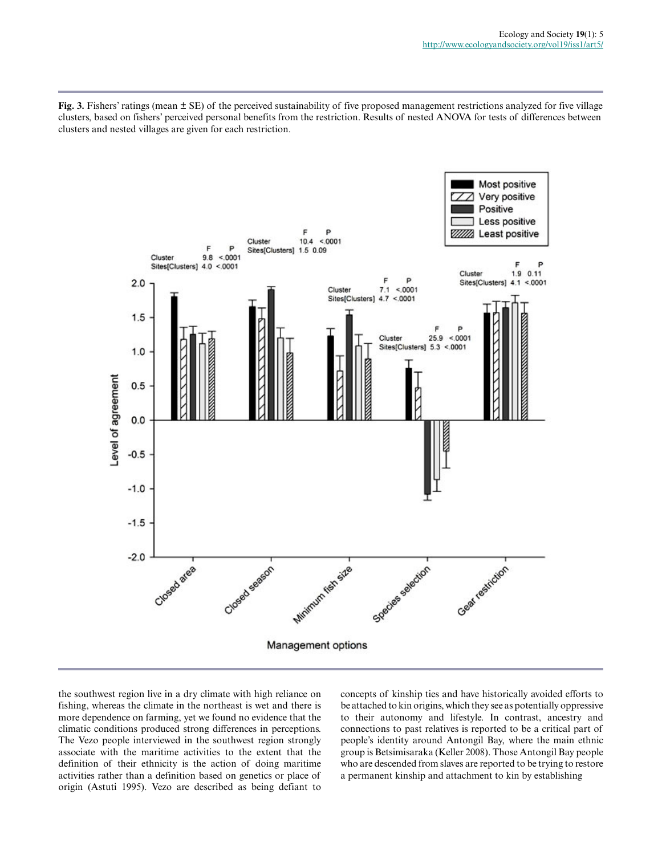**Fig. 3.** Fishers' ratings (mean ± SE) of the perceived sustainability of five proposed management restrictions analyzed for five village clusters, based on fishers' perceived personal benefits from the restriction. Results of nested ANOVA for tests of differences between clusters and nested villages are given for each restriction.



the southwest region live in a dry climate with high reliance on fishing, whereas the climate in the northeast is wet and there is more dependence on farming, yet we found no evidence that the climatic conditions produced strong differences in perceptions. The Vezo people interviewed in the southwest region strongly associate with the maritime activities to the extent that the definition of their ethnicity is the action of doing maritime activities rather than a definition based on genetics or place of origin (Astuti 1995). Vezo are described as being defiant to concepts of kinship ties and have historically avoided efforts to be attached to kin origins, which they see as potentially oppressive to their autonomy and lifestyle. In contrast, ancestry and connections to past relatives is reported to be a critical part of people's identity around Antongil Bay, where the main ethnic group is Betsimisaraka (Keller 2008). Those Antongil Bay people who are descended from slaves are reported to be trying to restore a permanent kinship and attachment to kin by establishing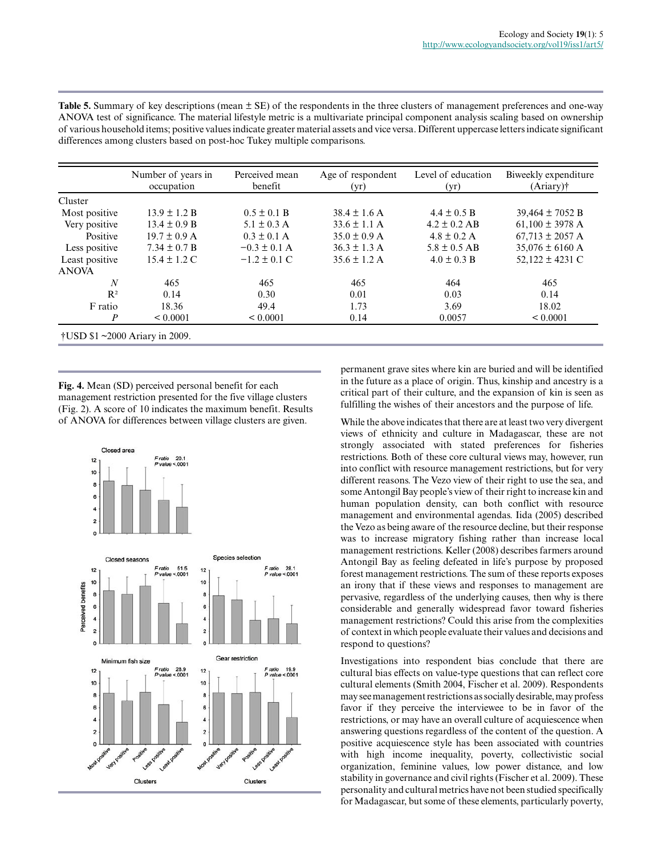|                                         | Number of years in<br>occupation | Perceived mean<br>benefit | Age of respondent<br>(yr) | Level of education<br>(yr) | Biweekly expenditure<br>$(Ariary)$ † |
|-----------------------------------------|----------------------------------|---------------------------|---------------------------|----------------------------|--------------------------------------|
| Cluster                                 |                                  |                           |                           |                            |                                      |
| Most positive                           | $13.9 \pm 1.2 B$                 | $0.5 \pm 0.1 B$           | $38.4 \pm 1.6$ A          | $4.4 \pm 0.5 B$            | $39,464 \pm 7052 B$                  |
| Very positive                           | $13.4 \pm 0.9 B$                 | $5.1 \pm 0.3$ A           | $33.6 \pm 1.1$ A          | $4.2 \pm 0.2$ AB           | $61,100 \pm 3978$ A                  |
| Positive                                | $19.7 \pm 0.9$ A                 | $0.3 \pm 0.1$ A           | $35.0 \pm 0.9$ A          | $4.8 \pm 0.2$ A            | $67,713 \pm 2057$ A                  |
| Less positive                           | $7.34 \pm 0.7 B$                 | $-0.3 \pm 0.1$ A          | $36.3 \pm 1.3$ A          | $5.8 \pm 0.5$ AB           | $35,076 \pm 6160$ A                  |
| Least positive                          | $15.4 \pm 1.2$ C                 | $-1.2 \pm 0.1$ C          | $35.6 \pm 1.2$ A          | $4.0 \pm 0.3 B$            | $52,122 \pm 4231$ C                  |
| <b>ANOVA</b>                            |                                  |                           |                           |                            |                                      |
| $\boldsymbol{N}$                        | 465                              | 465                       | 465                       | 464                        | 465                                  |
| $R^2$                                   | 0.14                             | 0.30                      | 0.01                      | 0.03                       | 0.14                                 |
| F ratio                                 | 18.36                            | 49.4                      | 1.73                      | 3.69                       | 18.02                                |
| $\boldsymbol{P}$                        | ${}< 0.0001$                     | ${}_{0.0001}$             | 0.14                      | 0.0057                     | ${}_{0.0001}$                        |
| $\dagger$ USD \$1 ~2000 Ariary in 2009. |                                  |                           |                           |                            |                                      |

**Table 5.** Summary of key descriptions (mean ± SE) of the respondents in the three clusters of management preferences and one-way ANOVA test of significance. The material lifestyle metric is a multivariate principal component analysis scaling based on ownership of various household items; positive values indicate greater material assets and vice versa. Different uppercase letters indicate significant differences among clusters based on post-hoc Tukey multiple comparisons.

**Fig. 4.** Mean (SD) perceived personal benefit for each management restriction presented for the five village clusters (Fig. 2). A score of 10 indicates the maximum benefit. Results of ANOVA for differences between village clusters are given.



permanent grave sites where kin are buried and will be identified in the future as a place of origin. Thus, kinship and ancestry is a critical part of their culture, and the expansion of kin is seen as fulfilling the wishes of their ancestors and the purpose of life.

While the above indicates that there are at least two very divergent views of ethnicity and culture in Madagascar, these are not strongly associated with stated preferences for fisheries restrictions. Both of these core cultural views may, however, run into conflict with resource management restrictions, but for very different reasons. The Vezo view of their right to use the sea, and some Antongil Bay people's view of their right to increase kin and human population density, can both conflict with resource management and environmental agendas. Iida (2005) described the Vezo as being aware of the resource decline, but their response was to increase migratory fishing rather than increase local management restrictions. Keller (2008) describes farmers around Antongil Bay as feeling defeated in life's purpose by proposed forest management restrictions. The sum of these reports exposes an irony that if these views and responses to management are pervasive, regardless of the underlying causes, then why is there considerable and generally widespread favor toward fisheries management restrictions? Could this arise from the complexities of context in which people evaluate their values and decisions and respond to questions?

Investigations into respondent bias conclude that there are cultural bias effects on value-type questions that can reflect core cultural elements (Smith 2004, Fischer et al. 2009). Respondents may see management restrictions as socially desirable, may profess favor if they perceive the interviewee to be in favor of the restrictions, or may have an overall culture of acquiescence when answering questions regardless of the content of the question. A positive acquiescence style has been associated with countries with high income inequality, poverty, collectivistic social organization, feminine values, low power distance, and low stability in governance and civil rights (Fischer et al. 2009). These personality and cultural metrics have not been studied specifically for Madagascar, but some of these elements, particularly poverty,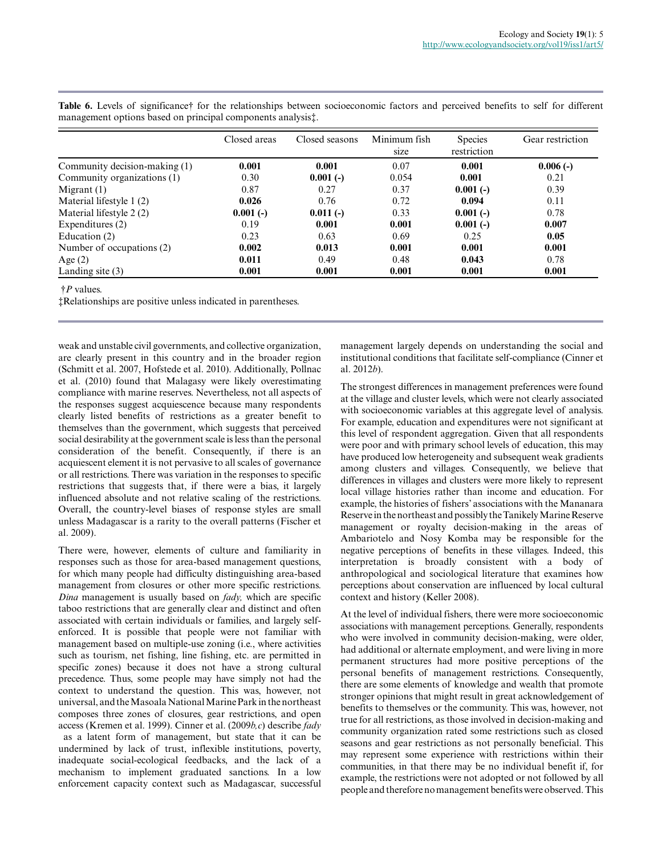|                               | Closed areas | Closed seasons | Minimum fish<br>size | <b>Species</b><br>restriction | Gear restriction |
|-------------------------------|--------------|----------------|----------------------|-------------------------------|------------------|
| Community decision-making (1) | 0.001        | 0.001          | 0.07                 | 0.001                         | $0.006(-)$       |
| Community organizations (1)   | 0.30         | $0.001(-)$     | 0.054                | 0.001                         | 0.21             |
| Migrant $(1)$                 | 0.87         | 0.27           | 0.37                 | $0.001(-)$                    | 0.39             |
| Material lifestyle 1 (2)      | 0.026        | 0.76           | 0.72                 | 0.094                         | 0.11             |
| Material lifestyle 2 (2)      | $0.001(-)$   | $0.011(-)$     | 0.33                 | $0.001(-)$                    | 0.78             |
| Expenditures (2)              | 0.19         | 0.001          | 0.001                | $0.001(-)$                    | 0.007            |
| Education (2)                 | 0.23         | 0.63           | 0.69                 | 0.25                          | 0.05             |
| Number of occupations (2)     | 0.002        | 0.013          | 0.001                | 0.001                         | 0.001            |
| Age $(2)$                     | 0.011        | 0.49           | 0.48                 | 0.043                         | 0.78             |
| Landing site $(3)$            | 0.001        | 0.001          | 0.001                | 0.001                         | 0.001            |

Table 6. Levels of significance† for the relationships between socioeconomic factors and perceived benefits to self for different management options based on principal components analysis‡.

†*P* values.

‡Relationships are positive unless indicated in parentheses.

weak and unstable civil governments, and collective organization, are clearly present in this country and in the broader region (Schmitt et al. 2007, Hofstede et al. 2010). Additionally, Pollnac et al. (2010) found that Malagasy were likely overestimating compliance with marine reserves. Nevertheless, not all aspects of the responses suggest acquiescence because many respondents clearly listed benefits of restrictions as a greater benefit to themselves than the government, which suggests that perceived social desirability at the government scale is less than the personal consideration of the benefit. Consequently, if there is an acquiescent element it is not pervasive to all scales of governance or all restrictions. There was variation in the responses to specific restrictions that suggests that, if there were a bias, it largely influenced absolute and not relative scaling of the restrictions. Overall, the country-level biases of response styles are small unless Madagascar is a rarity to the overall patterns (Fischer et al. 2009).

There were, however, elements of culture and familiarity in responses such as those for area-based management questions, for which many people had difficulty distinguishing area-based management from closures or other more specific restrictions. *Dina* management is usually based on *fady,* which are specific taboo restrictions that are generally clear and distinct and often associated with certain individuals or families, and largely selfenforced. It is possible that people were not familiar with management based on multiple-use zoning (i.e., where activities such as tourism, net fishing, line fishing, etc. are permitted in specific zones) because it does not have a strong cultural precedence. Thus, some people may have simply not had the context to understand the question. This was, however, not universal, and the Masoala National Marine Park in the northeast composes three zones of closures, gear restrictions, and open access (Kremen et al. 1999). Cinner et al. (2009*b,c*) describe *fady* as a latent form of management, but state that it can be undermined by lack of trust, inflexible institutions, poverty, inadequate social-ecological feedbacks, and the lack of a mechanism to implement graduated sanctions. In a low enforcement capacity context such as Madagascar, successful

management largely depends on understanding the social and institutional conditions that facilitate self-compliance (Cinner et al. 2012*b*).

The strongest differences in management preferences were found at the village and cluster levels, which were not clearly associated with socioeconomic variables at this aggregate level of analysis. For example, education and expenditures were not significant at this level of respondent aggregation. Given that all respondents were poor and with primary school levels of education, this may have produced low heterogeneity and subsequent weak gradients among clusters and villages. Consequently, we believe that differences in villages and clusters were more likely to represent local village histories rather than income and education. For example, the histories of fishers' associations with the Mananara Reserve in the northeast and possibly the Tanikely Marine Reserve management or royalty decision-making in the areas of Ambariotelo and Nosy Komba may be responsible for the negative perceptions of benefits in these villages. Indeed, this interpretation is broadly consistent with a body of anthropological and sociological literature that examines how perceptions about conservation are influenced by local cultural context and history (Keller 2008).

At the level of individual fishers, there were more socioeconomic associations with management perceptions. Generally, respondents who were involved in community decision-making, were older, had additional or alternate employment, and were living in more permanent structures had more positive perceptions of the personal benefits of management restrictions. Consequently, there are some elements of knowledge and wealth that promote stronger opinions that might result in great acknowledgement of benefits to themselves or the community. This was, however, not true for all restrictions, as those involved in decision-making and community organization rated some restrictions such as closed seasons and gear restrictions as not personally beneficial. This may represent some experience with restrictions within their communities, in that there may be no individual benefit if, for example, the restrictions were not adopted or not followed by all people and therefore no management benefits were observed. This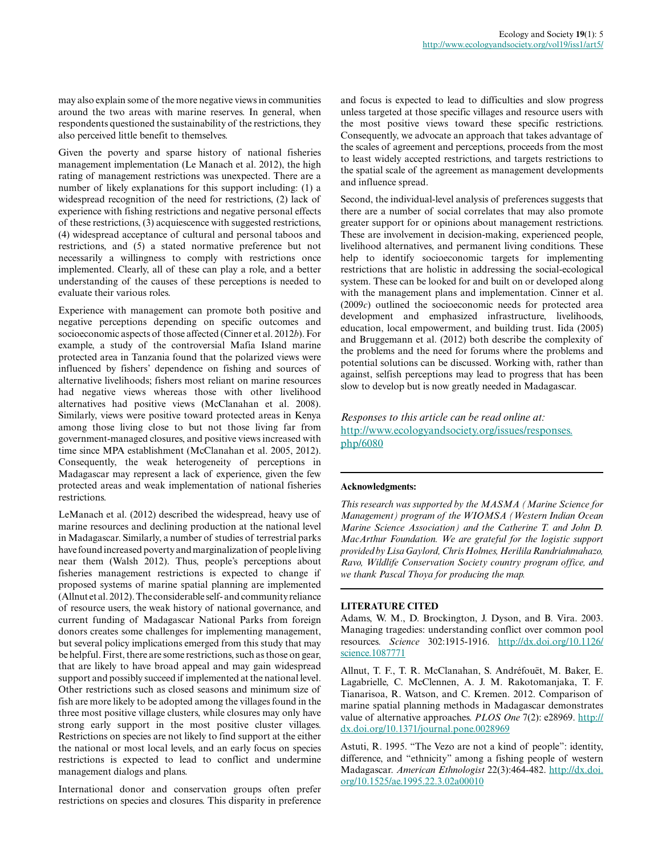may also explain some of the more negative views in communities around the two areas with marine reserves. In general, when respondents questioned the sustainability of the restrictions, they also perceived little benefit to themselves.

Given the poverty and sparse history of national fisheries management implementation (Le Manach et al. 2012), the high rating of management restrictions was unexpected. There are a number of likely explanations for this support including: (1) a widespread recognition of the need for restrictions, (2) lack of experience with fishing restrictions and negative personal effects of these restrictions, (3) acquiescence with suggested restrictions, (4) widespread acceptance of cultural and personal taboos and restrictions, and (5) a stated normative preference but not necessarily a willingness to comply with restrictions once implemented. Clearly, all of these can play a role, and a better understanding of the causes of these perceptions is needed to evaluate their various roles.

Experience with management can promote both positive and negative perceptions depending on specific outcomes and socioeconomic aspects of those affected (Cinner et al. 2012*b*). For example, a study of the controversial Mafia Island marine protected area in Tanzania found that the polarized views were influenced by fishers' dependence on fishing and sources of alternative livelihoods; fishers most reliant on marine resources had negative views whereas those with other livelihood alternatives had positive views (McClanahan et al. 2008). Similarly, views were positive toward protected areas in Kenya among those living close to but not those living far from government-managed closures, and positive views increased with time since MPA establishment (McClanahan et al. 2005, 2012). Consequently, the weak heterogeneity of perceptions in Madagascar may represent a lack of experience, given the few protected areas and weak implementation of national fisheries restrictions.

LeManach et al. (2012) described the widespread, heavy use of marine resources and declining production at the national level in Madagascar. Similarly, a number of studies of terrestrial parks have found increased poverty and marginalization of people living near them (Walsh 2012). Thus, people's perceptions about fisheries management restrictions is expected to change if proposed systems of marine spatial planning are implemented (Allnut et al. 2012). The considerable self- and community reliance of resource users, the weak history of national governance, and current funding of Madagascar National Parks from foreign donors creates some challenges for implementing management, but several policy implications emerged from this study that may be helpful. First, there are some restrictions, such as those on gear, that are likely to have broad appeal and may gain widespread support and possibly succeed if implemented at the national level. Other restrictions such as closed seasons and minimum size of fish are more likely to be adopted among the villages found in the three most positive village clusters, while closures may only have strong early support in the most positive cluster villages. Restrictions on species are not likely to find support at the either the national or most local levels, and an early focus on species restrictions is expected to lead to conflict and undermine management dialogs and plans.

International donor and conservation groups often prefer restrictions on species and closures. This disparity in preference and focus is expected to lead to difficulties and slow progress unless targeted at those specific villages and resource users with the most positive views toward these specific restrictions. Consequently, we advocate an approach that takes advantage of the scales of agreement and perceptions, proceeds from the most to least widely accepted restrictions, and targets restrictions to the spatial scale of the agreement as management developments and influence spread.

Second, the individual-level analysis of preferences suggests that there are a number of social correlates that may also promote greater support for or opinions about management restrictions. These are involvement in decision-making, experienced people, livelihood alternatives, and permanent living conditions. These help to identify socioeconomic targets for implementing restrictions that are holistic in addressing the social-ecological system. These can be looked for and built on or developed along with the management plans and implementation. Cinner et al. (2009*c*) outlined the socioeconomic needs for protected area development and emphasized infrastructure, livelihoods, education, local empowerment, and building trust. Iida (2005) and Bruggemann et al. (2012) both describe the complexity of the problems and the need for forums where the problems and potential solutions can be discussed. Working with, rather than against, selfish perceptions may lead to progress that has been slow to develop but is now greatly needed in Madagascar.

*Responses to this article can be read online at:* [http://www.ecologyandsociety.org/issues/responses.](http://www.ecologyandsociety.org/issues/responses.php/6080) [php/6080](http://www.ecologyandsociety.org/issues/responses.php/6080)

#### **Acknowledgments:**

*This research was supported by the MASMA (Marine Science for Management) program of the WIOMSA (Western Indian Ocean Marine Science Association) and the Catherine T. and John D. MacArthur Foundation. We are grateful for the logistic support provided by Lisa Gaylord, Chris Holmes, Herilila Randriahmahazo, Ravo, Wildlife Conservation Society country program office, and we thank Pascal Thoya for producing the map.*

#### **LITERATURE CITED**

Adams, W. M., D. Brockington, J. Dyson, and B. Vira. 2003. Managing tragedies: understanding conflict over common pool resources. *Science* 302:1915-1916. [http://dx.doi.org/10.1126/](http://dx.doi.org/10.1126/science.1087771) [science.1087771](http://dx.doi.org/10.1126/science.1087771)

Allnut, T. F., T. R. McClanahan, S. Andréfouët, M. Baker, E. Lagabrielle, C. McClennen, A. J. M. Rakotomanjaka, T. F. Tianarisoa, R. Watson, and C. Kremen. 2012. Comparison of marine spatial planning methods in Madagascar demonstrates value of alternative approaches. *PLOS One* 7(2): e28969. [http://](http://dx.doi.org/10.1371/journal.pone.0028969) [dx.doi.org/10.1371/journal.pone.0028969](http://dx.doi.org/10.1371/journal.pone.0028969)

Astuti, R. 1995. "The Vezo are not a kind of people": identity, difference, and "ethnicity" among a fishing people of western Madagascar. *American Ethnologist* 22(3):464-482. [http://dx.doi.](http://dx.doi.org/10.1525/ae.1995.22.3.02a00010) [org/10.1525/ae.1995.22.3.02a00010](http://dx.doi.org/10.1525/ae.1995.22.3.02a00010)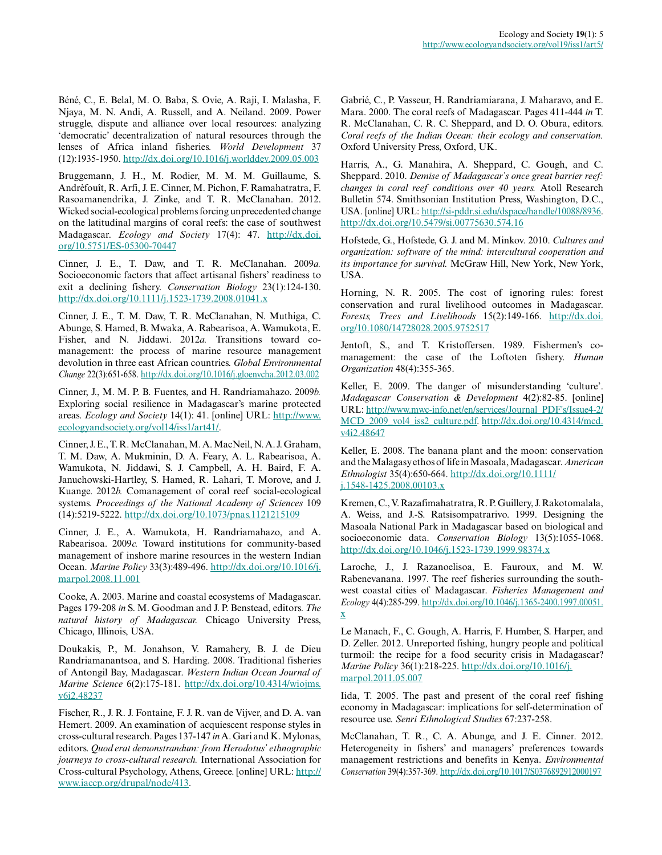Béné, C., E. Belal, M. O. Baba, S. Ovie, A. Raji, I. Malasha, F. Njaya, M. N. Andi, A. Russell, and A. Neiland. 2009. Power struggle, dispute and alliance over local resources: analyzing 'democratic' decentralization of natural resources through the lenses of Africa inland fisheries. *World Development* 37 (12):1935-1950. <http://dx.doi.org/10.1016/j.worlddev.2009.05.003>

Bruggemann, J. H., M. Rodier, M. M. M. Guillaume, S. Andrèfouît, R. Arfi, J. E. Cinner, M. Pichon, F. Ramahatratra, F. Rasoamanendrika, J. Zinke, and T. R. McClanahan. 2012. Wicked social-ecological problems forcing unprecedented change on the latitudinal margins of coral reefs: the case of southwest Madagascar. *Ecology and Society* 17(4): 47. [http://dx.doi.](http://dx.doi.org/10.5751/ES-05300-70447) [org/10.5751/ES-05300-70447](http://dx.doi.org/10.5751/ES-05300-70447)

Cinner, J. E., T. Daw, and T. R. McClanahan. 2009*a.* Socioeconomic factors that affect artisanal fishers' readiness to exit a declining fishery. *Conservation Biology* 23(1):124-130. <http://dx.doi.org/10.1111/j.1523-1739.2008.01041.x>

Cinner, J. E., T. M. Daw, T. R. McClanahan, N. Muthiga, C. Abunge, S. Hamed, B. Mwaka, A. Rabearisoa, A. Wamukota, E. Fisher, and N. Jiddawi. 2012*a.* Transitions toward comanagement: the process of marine resource management devolution in three east African countries. *Global Environmental Change* 22(3):651-658.<http://dx.doi.org/10.1016/j.gloenvcha.2012.03.002>

Cinner, J., M. M. P. B. Fuentes, and H. Randriamahazo. 2009*b.* Exploring social resilience in Madagascar's marine protected areas. *Ecology and Society* 14(1): 41. [online] URL: [http://www.](http://www.ecologyandsociety.org/vol14/iss1/art41/) [ecologyandsociety.org/vol14/iss1/art41/](http://www.ecologyandsociety.org/vol14/iss1/art41/).

Cinner, J. E., T. R. McClanahan, M. A. MacNeil, N. A. J. Graham, T. M. Daw, A. Mukminin, D. A. Feary, A. L. Rabearisoa, A. Wamukota, N. Jiddawi, S. J. Campbell, A. H. Baird, F. A. Januchowski-Hartley, S. Hamed, R. Lahari, T. Morove, and J. Kuange. 2012*b.* Comanagement of coral reef social-ecological systems. *Proceedings of the National Academy of Sciences* 109 (14):5219-5222.<http://dx.doi.org/10.1073/pnas.1121215109>

Cinner, J. E., A. Wamukota, H. Randriamahazo, and A. Rabearisoa. 2009*c.* Toward institutions for community-based management of inshore marine resources in the western Indian Ocean. *Marine Policy* 33(3):489-496. [http://dx.doi.org/10.1016/j.](http://dx.doi.org/10.1016/j.marpol.2008.11.001) [marpol.2008.11.001](http://dx.doi.org/10.1016/j.marpol.2008.11.001)

Cooke, A. 2003. Marine and coastal ecosystems of Madagascar. Pages 179-208 *in* S. M. Goodman and J. P. Benstead, editors. *The natural history of Madagascar.* Chicago University Press, Chicago, Illinois, USA.

Doukakis, P., M. Jonahson, V. Ramahery, B. J. de Dieu Randriamanantsoa, and S. Harding. 2008. Traditional fisheries of Antongil Bay, Madagascar. *Western Indian Ocean Journal of Marine Science* 6(2):175-181. [http://dx.doi.org/10.4314/wiojms.](http://dx.doi.org/10.4314/wiojms.v6i2.48237) [v6i2.48237](http://dx.doi.org/10.4314/wiojms.v6i2.48237)

Fischer, R., J. R. J. Fontaine, F. J. R. van de Vijver, and D. A. van Hemert. 2009. An examination of acquiescent response styles in cross-cultural research. Pages 137-147 *in* A. Gari and K. Mylonas, editors. *Quod erat demonstrandum: from Herodotus' ethnographic journeys to cross-cultural research.* International Association for Cross-cultural Psychology, Athens, Greece. [online] URL: [http://](http://www.iaccp.org/drupal/node/413) [www.iaccp.org/drupal/node/413.](http://www.iaccp.org/drupal/node/413)

Gabrié, C., P. Vasseur, H. Randriamiarana, J. Maharavo, and E. Mara. 2000. The coral reefs of Madagascar. Pages 411-444 *in* T. R. McClanahan, C. R. C. Sheppard, and D. O. Obura, editors. *Coral reefs of the Indian Ocean: their ecology and conservation.* Oxford University Press, Oxford, UK.

Harris, A., G. Manahira, A. Sheppard, C. Gough, and C. Sheppard. 2010. *Demise of Madagascar's once great barrier reef: changes in coral reef conditions over 40 years.* Atoll Research Bulletin 574. Smithsonian Institution Press, Washington, D.C., USA. [online] URL: [http://si-pddr.si.edu/dspace/handle/10088/8936.](http://si-pddr.si.edu/dspace/handle/10088/8936) <http://dx.doi.org/10.5479/si.00775630.574.16>

Hofstede, G., Hofstede, G. J. and M. Minkov. 2010. *Cultures and organization: software of the mind: intercultural cooperation and its importance for survival.* McGraw Hill, New York, New York, USA.

Horning, N. R. 2005. The cost of ignoring rules: forest conservation and rural livelihood outcomes in Madagascar. *Forests, Trees and Livelihoods* 15(2):149-166. [http://dx.doi.](http://dx.doi.org/10.1080/14728028.2005.9752517) [org/10.1080/14728028.2005.9752517](http://dx.doi.org/10.1080/14728028.2005.9752517)

Jentoft, S., and T. Kristoffersen. 1989. Fishermen's comanagement: the case of the Loftoten fishery. *Human Organization* 48(4):355-365.

Keller, E. 2009. The danger of misunderstanding 'culture'. *Madagascar Conservation & Development* 4(2):82-85. [online] URL: [http://www.mwc-info.net/en/services/Journal\\_PDF's/Issue4-2/](http://www.mwc-info.net/en/services/Journal_PDF) MCD 2009 vol4 iss2 culture.pdf. [http://dx.doi.org/10.4314/mcd.](http://dx.doi.org/10.4314/mcd.v4i2.48647) [v4i2.48647](http://dx.doi.org/10.4314/mcd.v4i2.48647)

Keller, E. 2008. The banana plant and the moon: conservation and the Malagasy ethos of life in Masoala, Madagascar. *American Ethnologist* 35(4):650-664. [http://dx.doi.org/10.1111/](http://dx.doi.org/10.1111/j.1548-1425.2008.00103.x) [j.1548-1425.2008.00103.x](http://dx.doi.org/10.1111/j.1548-1425.2008.00103.x)

Kremen, C., V. Razafimahatratra, R. P. Guillery, J. Rakotomalala, A. Weiss, and J.-S. Ratsisompatrarivo. 1999. Designing the Masoala National Park in Madagascar based on biological and socioeconomic data. *Conservation Biology* 13(5):1055-1068. <http://dx.doi.org/10.1046/j.1523-1739.1999.98374.x>

Laroche, J., J. Razanoelisoa, E. Fauroux, and M. W. Rabenevanana. 1997. The reef fisheries surrounding the southwest coastal cities of Madagascar. *Fisheries Management and Ecology* 4(4):285-299. [http://dx.doi.org/10.1046/j.1365-2400.1997.00051.](http://dx.doi.org/10.1046/j.1365-2400.1997.00051.x) [x](http://dx.doi.org/10.1046/j.1365-2400.1997.00051.x)

Le Manach, F., C. Gough, A. Harris, F. Humber, S. Harper, and D. Zeller. 2012. Unreported fishing, hungry people and political turmoil: the recipe for a food security crisis in Madagascar? *Marine Policy* 36(1):218-225. [http://dx.doi.org/10.1016/j.](http://dx.doi.org/10.1016/j.marpol.2011.05.007) [marpol.2011.05.007](http://dx.doi.org/10.1016/j.marpol.2011.05.007)

Iida, T. 2005. The past and present of the coral reef fishing economy in Madagascar: implications for self-determination of resource use. *Senri Ethnological Studies* 67:237-258.

McClanahan, T. R., C. A. Abunge, and J. E. Cinner. 2012. Heterogeneity in fishers' and managers' preferences towards management restrictions and benefits in Kenya. *Environmental Conservation* 39(4):357-369.<http://dx.doi.org/10.1017/S0376892912000197>